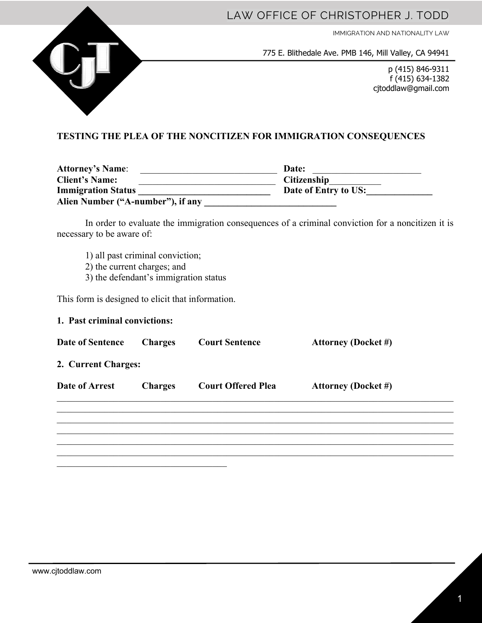

IMMIGRATION AND NATIONALITY LAW



775 E. Blithedale Ave. PMB 146, Mill Valley, CA 94941

p (415) 846-9311 f (415) 634-1382 cjtoddlaw@gmail.com

## **TESTING THE PLEA OF THE NONCITIZEN FOR IMMIGRATION CONSEQUENCES**

| <b>Attorney's Name:</b>           | Date:                |
|-----------------------------------|----------------------|
| <b>Client's Name:</b>             | <b>Citizenship</b>   |
| <b>Immigration Status</b>         | Date of Entry to US: |
| Alien Number ("A-number"), if any |                      |

In order to evaluate the immigration consequences of a criminal conviction for a noncitizen it is necessary to be aware of:

- 1) all past criminal conviction;
- 2) the current charges; and
- 3) the defendant's immigration status

This form is designed to elicit that information.

| 1. Past criminal convictions: |                |                           |                            |  |
|-------------------------------|----------------|---------------------------|----------------------------|--|
| Date of Sentence              | <b>Charges</b> | <b>Court Sentence</b>     | <b>Attorney (Docket #)</b> |  |
| 2. Current Charges:           |                |                           |                            |  |
| Date of Arrest                | <b>Charges</b> | <b>Court Offered Plea</b> | <b>Attorney (Docket #)</b> |  |
|                               |                |                           |                            |  |
|                               |                |                           |                            |  |
|                               |                |                           |                            |  |
|                               |                |                           |                            |  |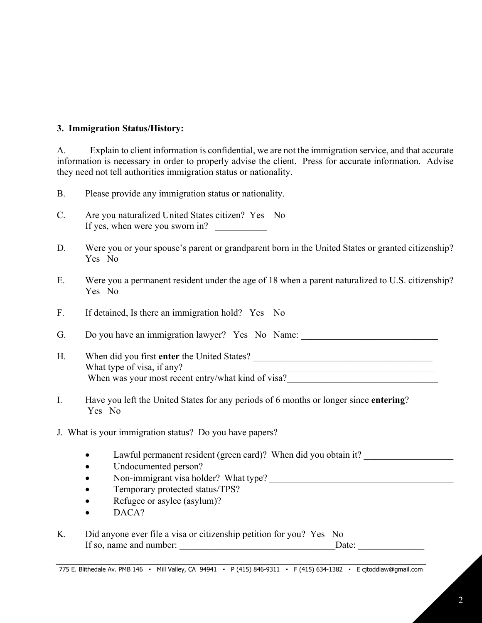## **3. Immigration Status/History:**

A. Explain to client information is confidential, we are not the immigration service, and that accurate information is necessary in order to properly advise the client. Press for accurate information. Advise they need not tell authorities immigration status or nationality.

| <b>B.</b> |  |  |  | Please provide any immigration status or nationality. |  |
|-----------|--|--|--|-------------------------------------------------------|--|
|           |  |  |  |                                                       |  |

- C. Are you naturalized United States citizen? Yes No If yes, when were you sworn in?
- D. Were you or your spouse's parent or grandparent born in the United States or granted citizenship? Yes No
- E. Were you a permanent resident under the age of 18 when a parent naturalized to U.S. citizenship? Yes No
- F. If detained, Is there an immigration hold? Yes No

G. Do you have an immigration lawyer? Yes No Name: \_\_\_\_\_\_\_\_\_\_\_\_\_\_\_\_\_\_\_\_\_\_\_\_\_\_\_\_\_

- H. When did you first **enter** the United States? What type of visa, if any? When was your most recent entry/what kind of visa?
- I. Have you left the United States for any periods of 6 months or longer since **entering**? Yes No
- J. What is your immigration status? Do you have papers?
	- Lawful permanent resident (green card)? When did you obtain it?
	- Undocumented person?
	- Non-immigrant visa holder? What type?
	- Temporary protected status/TPS?
	- Refugee or asylee (asylum)?
	- DACA?

| Κ. |                         | Did anyone ever file a visa or citizenship petition for you? Yes No |       |
|----|-------------------------|---------------------------------------------------------------------|-------|
|    | If so, name and number: |                                                                     | Date: |